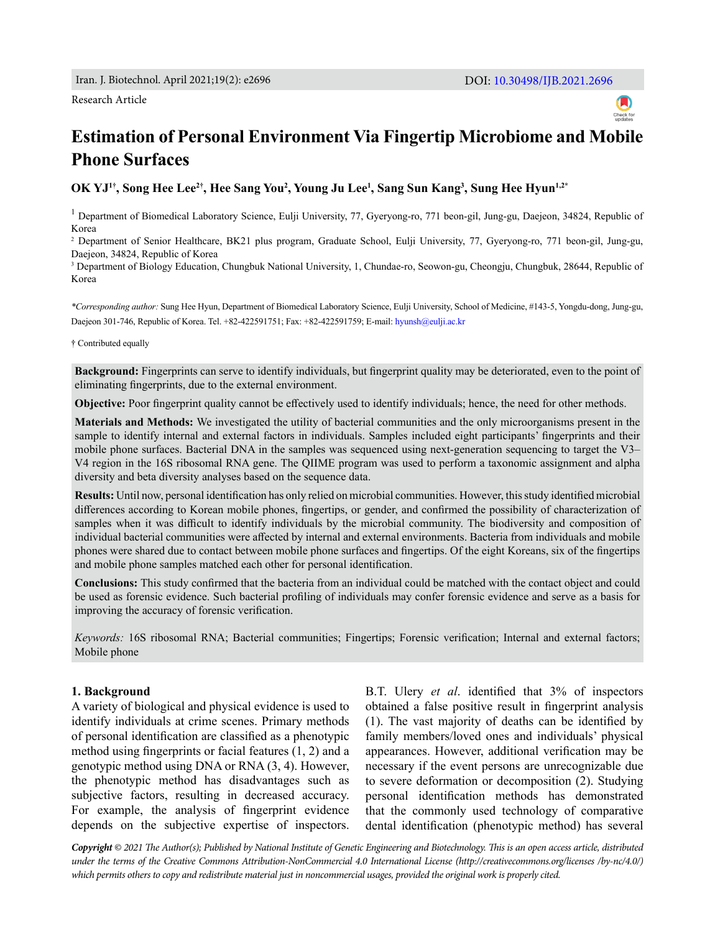#### Research Article



# **Estimation of Personal Environment Via Fingertip Microbiome and Mobile Phone Surfaces**

**OK YJ1†, Song Hee Lee2†, Hee Sang You2 , Young Ju Lee1 , Sang Sun Kang3 , Sung Hee Hyun1,2\***

<sup>1</sup> Department of Biomedical Laboratory Science, Eulji University, 77, Gyeryong-ro, 771 beon-gil, Jung-gu, Daejeon, 34824, Republic of Korea

2 Department of Senior Healthcare, BK21 plus program, Graduate School, Eulji University, 77, Gyeryong-ro, 771 beon-gil, Jung-gu, Daejeon, 34824, Republic of Korea

3 Department of Biology Education, Chungbuk National University, 1, Chundae-ro, Seowon-gu, Cheongju, Chungbuk, 28644, Republic of Korea

*\*Corresponding author:* Sung Hee Hyun, Department of Biomedical Laboratory Science, Eulji University, School of Medicine, #143-5, Yongdu-dong, Jung-gu, Daejeon 301-746, Republic of Korea. Tel. +82-422591751; Fax: +82-422591759; E-mail: [hyunsh@eulji.ac.kr](mailto:hyunsh%40eulji.ac.kr?subject=)

† Contributed equally

**Background:** Fingerprints can serve to identify individuals, but fingerprint quality may be deteriorated, even to the point of eliminating fingerprints, due to the external environment.

**Objective:** Poor fingerprint quality cannot be effectively used to identify individuals; hence, the need for other methods.

**Materials and Methods:** We investigated the utility of bacterial communities and the only microorganisms present in the sample to identify internal and external factors in individuals. Samples included eight participants' fingerprints and their mobile phone surfaces. Bacterial DNA in the samples was sequenced using next-generation sequencing to target the V3– V4 region in the 16S ribosomal RNA gene. The QIIME program was used to perform a taxonomic assignment and alpha diversity and beta diversity analyses based on the sequence data.

**Results:** Until now, personal identification has only relied on microbial communities. However, this study identified microbial differences according to Korean mobile phones, fingertips, or gender, and confirmed the possibility of characterization of samples when it was difficult to identify individuals by the microbial community. The biodiversity and composition of individual bacterial communities were affected by internal and external environments. Bacteria from individuals and mobile phones were shared due to contact between mobile phone surfaces and fingertips. Of the eight Koreans, six of the fingertips and mobile phone samples matched each other for personal identification.

**Conclusions:** This study confirmed that the bacteria from an individual could be matched with the contact object and could be used as forensic evidence. Such bacterial profiling of individuals may confer forensic evidence and serve as a basis for improving the accuracy of forensic verification.

*Keywords:* 16S ribosomal RNA; Bacterial communities; Fingertips; Forensic verification; Internal and external factors; Mobile phone

#### **1. Background**

A variety of biological and physical evidence is used to identify individuals at crime scenes. Primary methods of personal identification are classified as a phenotypic method using fingerprints or facial features (1, 2) and a genotypic method using DNA or RNA (3, 4). However, the phenotypic method has disadvantages such as subjective factors, resulting in decreased accuracy. For example, the analysis of fingerprint evidence depends on the subjective expertise of inspectors.

B.T. Ulery *et al*. identified that 3% of inspectors obtained a false positive result in fingerprint analysis (1). The vast majority of deaths can be identified by family members/loved ones and individuals' physical appearances. However, additional verification may be necessary if the event persons are unrecognizable due to severe deformation or decomposition (2). Studying personal identification methods has demonstrated that the commonly used technology of comparative dental identification (phenotypic method) has several

*Copyright © 2021 The Author(s); Published by National Institute of Genetic Engineering and Biotechnology. This is an open access article, distributed under the terms of the Creative Commons Attribution-NonCommercial 4.0 International License (http://creativecommons.org/licenses /by-nc/4.0/) which permits others to copy and redistribute material just in noncommercial usages, provided the original work is properly cited.*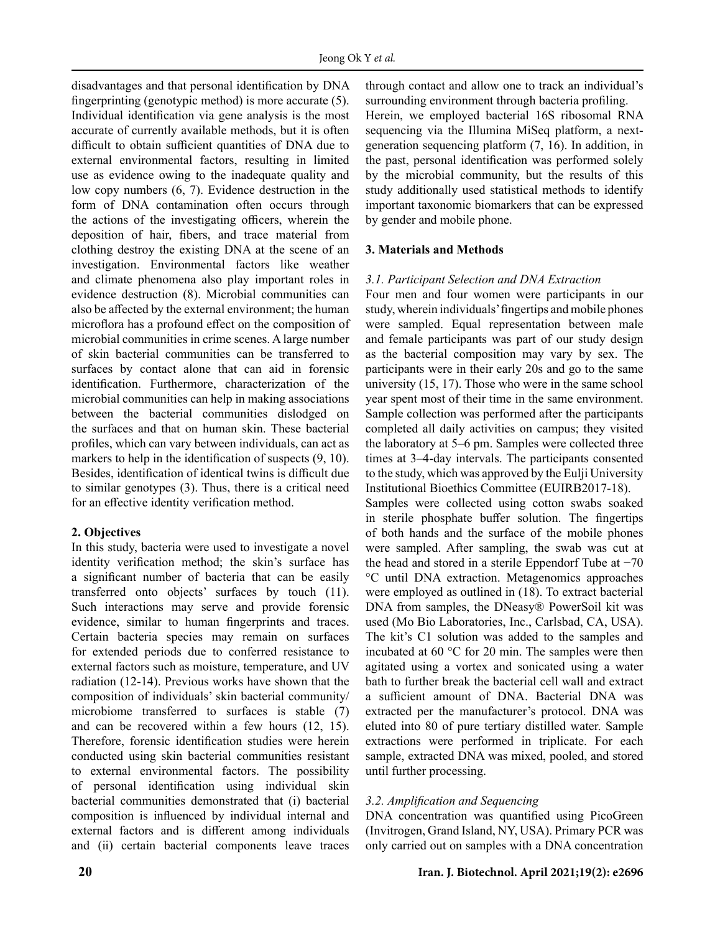disadvantages and that personal identification by DNA fingerprinting (genotypic method) is more accurate (5). Individual identification via gene analysis is the most accurate of currently available methods, but it is often difficult to obtain sufficient quantities of DNA due to external environmental factors, resulting in limited use as evidence owing to the inadequate quality and low copy numbers (6, 7). Evidence destruction in the form of DNA contamination often occurs through the actions of the investigating officers, wherein the deposition of hair, fibers, and trace material from clothing destroy the existing DNA at the scene of an investigation. Environmental factors like weather and climate phenomena also play important roles in evidence destruction (8). Microbial communities can also be affected by the external environment; the human microflora has a profound effect on the composition of microbial communities in crime scenes. A large number of skin bacterial communities can be transferred to surfaces by contact alone that can aid in forensic identification. Furthermore, characterization of the microbial communities can help in making associations between the bacterial communities dislodged on the surfaces and that on human skin. These bacterial profiles, which can vary between individuals, can act as markers to help in the identification of suspects (9, 10). Besides, identification of identical twins is difficult due to similar genotypes (3). Thus, there is a critical need for an effective identity verification method.

## **2. Objectives**

In this study, bacteria were used to investigate a novel identity verification method; the skin's surface has a significant number of bacteria that can be easily transferred onto objects' surfaces by touch (11). Such interactions may serve and provide forensic evidence, similar to human fingerprints and traces. Certain bacteria species may remain on surfaces for extended periods due to conferred resistance to external factors such as moisture, temperature, and UV radiation (12-14). Previous works have shown that the composition of individuals' skin bacterial community/ microbiome transferred to surfaces is stable (7) and can be recovered within a few hours (12, 15). Therefore, forensic identification studies were herein conducted using skin bacterial communities resistant to external environmental factors. The possibility of personal identification using individual skin bacterial communities demonstrated that (i) bacterial composition is influenced by individual internal and external factors and is different among individuals and (ⅱ) certain bacterial components leave traces through contact and allow one to track an individual's surrounding environment through bacteria profiling. Herein, we employed bacterial 16S ribosomal RNA sequencing via the Illumina MiSeq platform, a nextgeneration sequencing platform (7, 16). In addition, in the past, personal identification was performed solely by the microbial community, but the results of this study additionally used statistical methods to identify important taxonomic biomarkers that can be expressed by gender and mobile phone.

# **3. Materials and Methods**

# *3.1. Participant Selection and DNA Extraction*

Four men and four women were participants in our study, wherein individuals' fingertips and mobile phones were sampled. Equal representation between male and female participants was part of our study design as the bacterial composition may vary by sex. The participants were in their early 20s and go to the same university (15, 17). Those who were in the same school year spent most of their time in the same environment. Sample collection was performed after the participants completed all daily activities on campus; they visited the laboratory at 5–6 pm. Samples were collected three times at 3–4-day intervals. The participants consented to the study, which was approved by the Eulji University Institutional Bioethics Committee (EUIRB2017-18).

Samples were collected using cotton swabs soaked in sterile phosphate buffer solution. The fingertips of both hands and the surface of the mobile phones were sampled. After sampling, the swab was cut at the head and stored in a sterile Eppendorf Tube at  $-70$ °C until DNA extraction. Metagenomics approaches were employed as outlined in (18). To extract bacterial DNA from samples, the DNeasy® PowerSoil kit was used (Mo Bio Laboratories, Inc., Carlsbad, CA, USA). The kit's C1 solution was added to the samples and incubated at 60 °C for 20 min. The samples were then agitated using a vortex and sonicated using a water bath to further break the bacterial cell wall and extract a sufficient amount of DNA. Bacterial DNA was extracted per the manufacturer's protocol. DNA was eluted into 80 of pure tertiary distilled water. Sample extractions were performed in triplicate. For each sample, extracted DNA was mixed, pooled, and stored until further processing.

## *3.2. Amplification and Sequencing*

DNA concentration was quantified using PicoGreen (Invitrogen, Grand Island, NY, USA). Primary PCR was only carried out on samples with a DNA concentration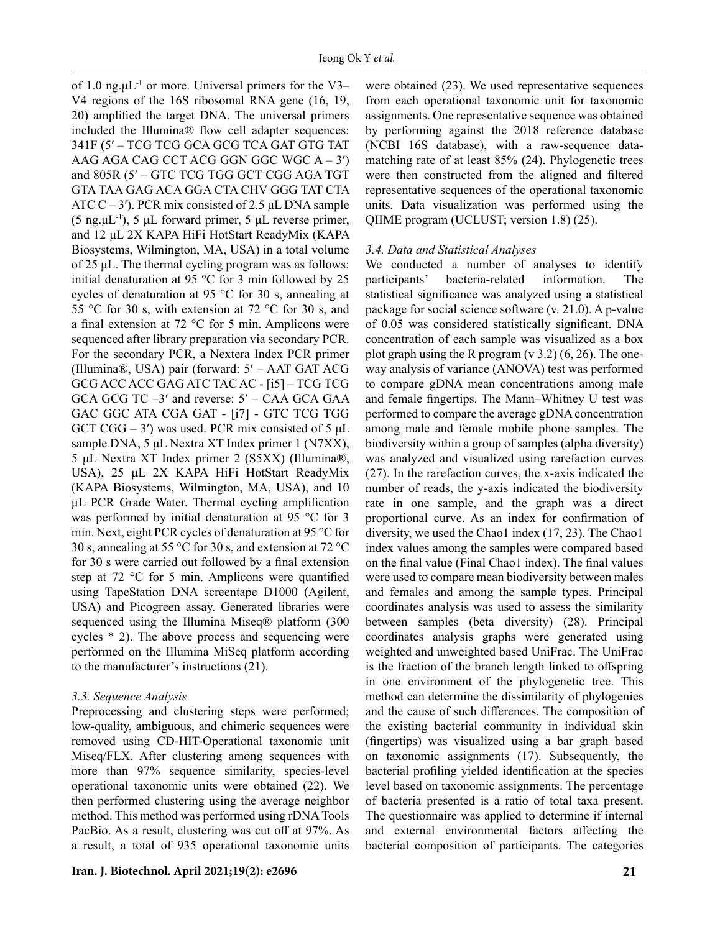of 1.0 ng. $\mu L^{-1}$  or more. Universal primers for the V3– V4 regions of the 16S ribosomal RNA gene (16, 19, 20) amplified the target DNA. The universal primers included the Illumina® flow cell adapter sequences: 341F (5′ – TCG TCG GCA GCG TCA GAT GTG TAT AAG AGA CAG CCT ACG GGN GGC WGC A – 3′) and 805R (5′ – GTC TCG TGG GCT CGG AGA TGT GTA TAA GAG ACA GGA CTA CHV GGG TAT CTA ATC  $C - 3'$ ). PCR mix consisted of 2.5 μL DNA sample (5 ng. $\mu$ L<sup>-1</sup>), 5  $\mu$ L forward primer, 5  $\mu$ L reverse primer, and 12 μL 2X KAPA HiFi HotStart ReadyMix (KAPA Biosystems, Wilmington, MA, USA) in a total volume of 25 μL. The thermal cycling program was as follows: initial denaturation at 95 °C for 3 min followed by 25 cycles of denaturation at 95 °C for 30 s, annealing at 55 °C for 30 s, with extension at 72 °C for 30 s, and a final extension at 72 °C for 5 min. Amplicons were sequenced after library preparation via secondary PCR. For the secondary PCR, a Nextera Index PCR primer (Illumina®, USA) pair (forward: 5′ – AAT GAT ACG GCG ACC ACC GAG ATC TAC AC - [i5] – TCG TCG GCA GCG TC –3′ and reverse: 5′ – CAA GCA GAA GAC GGC ATA CGA GAT - [i7] - GTC TCG TGG GCT CGG – 3') was used. PCR mix consisted of 5  $\mu$ L sample DNA, 5 μL Nextra XT Index primer 1 (N7XX), 5 μL Nextra XT Index primer 2 (S5XX) (Illumina®, USA), 25 μL 2X KAPA HiFi HotStart ReadyMix (KAPA Biosystems, Wilmington, MA, USA), and 10 μL PCR Grade Water. Thermal cycling amplification was performed by initial denaturation at 95 °C for 3 min. Next, eight PCR cycles of denaturation at 95 °C for 30 s, annealing at 55 °C for 30 s, and extension at 72 °C for 30 s were carried out followed by a final extension step at 72 °C for 5 min. Amplicons were quantified using TapeStation DNA screentape D1000 (Agilent, USA) and Picogreen assay. Generated libraries were sequenced using the Illumina Miseq® platform (300 cycles \* 2). The above process and sequencing were performed on the Illumina MiSeq platform according to the manufacturer's instructions (21).

#### *3.3. Sequence Analysis*

Preprocessing and clustering steps were performed; low-quality, ambiguous, and chimeric sequences were removed using CD-HIT-Operational taxonomic unit Miseq/FLX. After clustering among sequences with more than 97% sequence similarity, species-level operational taxonomic units were obtained (22). We then performed clustering using the average neighbor method. This method was performed using rDNA Tools PacBio. As a result, clustering was cut off at 97%. As a result, a total of 935 operational taxonomic units were obtained (23). We used representative sequences from each operational taxonomic unit for taxonomic assignments. One representative sequence was obtained by performing against the 2018 reference database (NCBI 16S database), with a raw-sequence datamatching rate of at least 85% (24). Phylogenetic trees were then constructed from the aligned and filtered representative sequences of the operational taxonomic units. Data visualization was performed using the QIIME program (UCLUST; version 1.8) (25).

### *3.4. Data and Statistical Analyses*

We conducted a number of analyses to identify participants' bacteria-related information. The statistical significance was analyzed using a statistical package for social science software (v. 21.0). A p-value of 0.05 was considered statistically significant. DNA concentration of each sample was visualized as a box plot graph using the R program  $(v 3.2)$   $(6, 26)$ . The oneway analysis of variance (ANOVA) test was performed to compare gDNA mean concentrations among male and female fingertips. The Mann–Whitney U test was performed to compare the average gDNA concentration among male and female mobile phone samples. The biodiversity within a group of samples (alpha diversity) was analyzed and visualized using rarefaction curves (27). In the rarefaction curves, the x-axis indicated the number of reads, the y-axis indicated the biodiversity rate in one sample, and the graph was a direct proportional curve. As an index for confirmation of diversity, we used the Chao1 index (17, 23). The Chao1 index values among the samples were compared based on the final value (Final Chao1 index). The final values were used to compare mean biodiversity between males and females and among the sample types. Principal coordinates analysis was used to assess the similarity between samples (beta diversity) (28). Principal coordinates analysis graphs were generated using weighted and unweighted based UniFrac. The UniFrac is the fraction of the branch length linked to offspring in one environment of the phylogenetic tree. This method can determine the dissimilarity of phylogenies and the cause of such differences. The composition of the existing bacterial community in individual skin (fingertips) was visualized using a bar graph based on taxonomic assignments (17). Subsequently, the bacterial profiling yielded identification at the species level based on taxonomic assignments. The percentage of bacteria presented is a ratio of total taxa present. The questionnaire was applied to determine if internal and external environmental factors affecting the bacterial composition of participants. The categories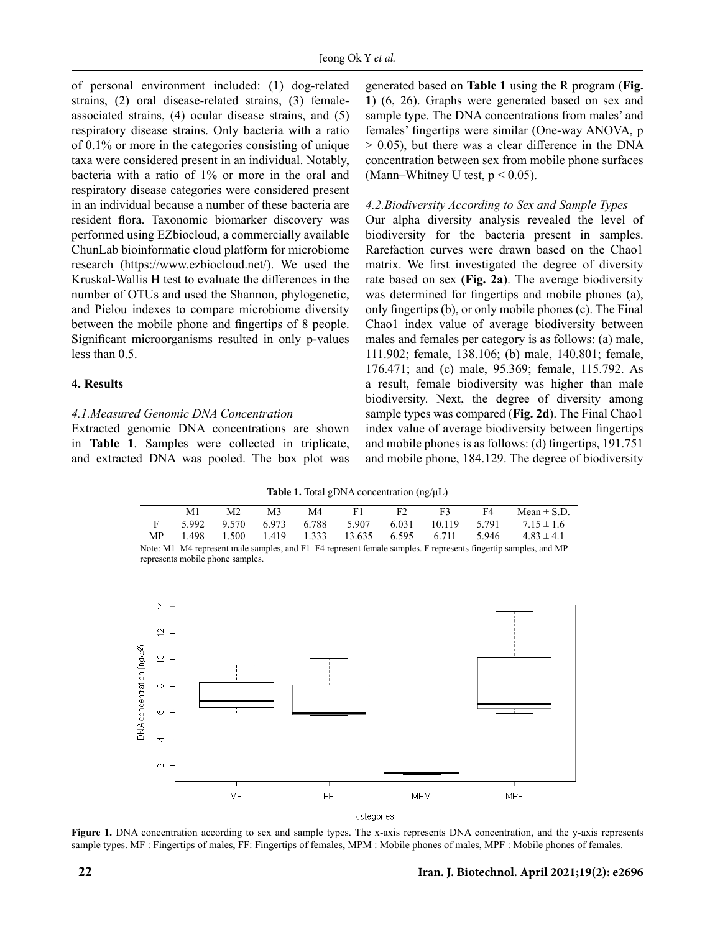of personal environment included: (1) dog-related strains, (2) oral disease-related strains, (3) femaleassociated strains, (4) ocular disease strains, and (5) respiratory disease strains. Only bacteria with a ratio of 0.1% or more in the categories consisting of unique taxa were considered present in an individual. Notably, bacteria with a ratio of 1% or more in the oral and respiratory disease categories were considered present in an individual because a number of these bacteria are resident flora. Taxonomic biomarker discovery was performed using EZbiocloud, a commercially available ChunLab bioinformatic cloud platform for microbiome research (https://www.ezbiocloud.net/). We used the Kruskal-Wallis H test to evaluate the differences in the number of OTUs and used the Shannon, phylogenetic, and Pielou indexes to compare microbiome diversity between the mobile phone and fingertips of 8 people. Significant microorganisms resulted in only p-values less than 0.5.

#### **4. Results**

### *4.1.Measured Genomic DNA Concentration*

Extracted genomic DNA concentrations are shown in **Table 1**. Samples were collected in triplicate, and extracted DNA was pooled. The box plot was generated based on **Table 1** using the R program (**Fig. 1**) (6, 26). Graphs were generated based on sex and sample type. The DNA concentrations from males' and females' fingertips were similar (One-way ANOVA, p  $> 0.05$ ), but there was a clear difference in the DNA concentration between sex from mobile phone surfaces (Mann–Whitney U test,  $p < 0.05$ ).

#### *4.2.Biodiversity According to Sex and Sample Types*

Our alpha diversity analysis revealed the level of biodiversity for the bacteria present in samples. Rarefaction curves were drawn based on the Chao1 matrix. We first investigated the degree of diversity rate based on sex **(Fig. 2a**). The average biodiversity was determined for fingertips and mobile phones (a), only fingertips (b), or only mobile phones (c). The Final Chao1 index value of average biodiversity between males and females per category is as follows: (a) male, 111.902; female, 138.106; (b) male, 140.801; female, 176.471; and (c) male, 95.369; female, 115.792. As a result, female biodiversity was higher than male biodiversity. Next, the degree of diversity among sample types was compared (**Fig. 2d**). The Final Chao1 index value of average biodiversity between fingertips and mobile phones is as follows: (d) fingertips, 191.751 and mobile phone, 184.129. The degree of biodiversity

Table 1. Total gDNA concentration (ng/μL) **Table 1.** Total gDNA concentration (ng/μL)

|    | M1    | M <sub>2</sub> | M3    | M4    |        | F <sub>2</sub> | F3     | F4    | Mean $\pm$ S.D. |
|----|-------|----------------|-------|-------|--------|----------------|--------|-------|-----------------|
|    | 5.992 | 9.570          | 6.973 | 6.788 | 5.907  | 6.031          | 10.119 | 5.791 | $7.15 \pm 1.6$  |
| MP | .498  | 1.500          | 1.419 | 1.333 | 13.635 | 6.595          | 6.711  | 5.946 | $4.83 \pm 4.1$  |
| .  |       |                |       | .     |        |                |        |       |                 |

Note: M1–M4 represent male samples, and F1–F4 represent female samples. F represents fingertip samples, and MP represents mobile phone samples.



**Figure 1.** DNA concentration according to sex and sample types. The x-axis represents DNA concentration, and the y-axis represents sample types. MF : Fingertips of males, FF: Fingertips of females, MPM : Mobile phones of males, MPF : Mobile phones of females.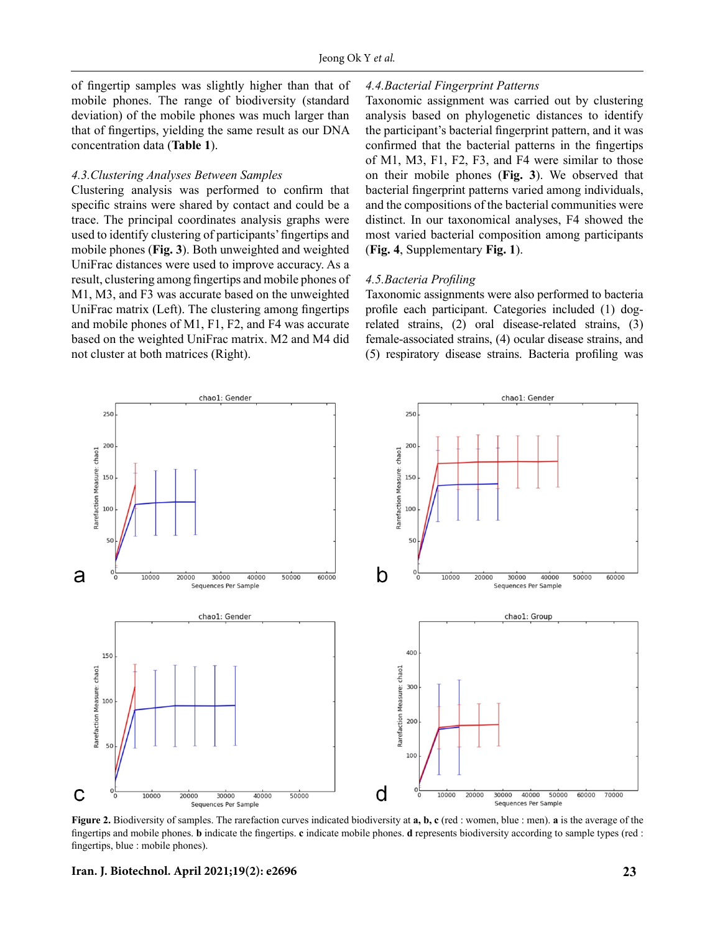of fingertip samples was slightly higher than that of mobile phones. The range of biodiversity (standard deviation) of the mobile phones was much larger than that of fingertips, yielding the same result as our DNA concentration data (**Table 1**).

#### *4.3.Clustering Analyses Between Samples*

Clustering analysis was performed to confirm that specific strains were shared by contact and could be a trace. The principal coordinates analysis graphs were used to identify clustering of participants' fingertips and mobile phones (**Fig. 3**). Both unweighted and weighted UniFrac distances were used to improve accuracy. As a result, clustering among fingertips and mobile phones of M1, M3, and F3 was accurate based on the unweighted UniFrac matrix (Left). The clustering among fingertips and mobile phones of M1, F1, F2, and F4 was accurate based on the weighted UniFrac matrix. M2 and M4 did not cluster at both matrices (Right).

#### *4.4.Bacterial Fingerprint Patterns*

Taxonomic assignment was carried out by clustering analysis based on phylogenetic distances to identify the participant's bacterial fingerprint pattern, and it was confirmed that the bacterial patterns in the fingertips of M1, M3, F1, F2, F3, and F4 were similar to those on their mobile phones (**Fig. 3**). We observed that bacterial fingerprint patterns varied among individuals, and the compositions of the bacterial communities were distinct. In our taxonomical analyses, F4 showed the most varied bacterial composition among participants (**Fig. 4**, Supplementary **Fig. 1**).

#### *4.5.Bacteria Profiling*

Taxonomic assignments were also performed to bacteria profile each participant. Categories included (1) dogrelated strains, (2) oral disease-related strains, (3) female-associated strains, (4) ocular disease strains, and (5) respiratory disease strains. Bacteria profiling was



**Figure 2.** Biodiversity of samples. The rarefaction curves indicated biodiversity at **a, b, c** (red : women, blue : men). **a** is the average of the fingertips and mobile phones. **b** indicate the fingertips. **c** indicate mobile phones. **d** represents biodiversity according to sample types (red : fingertips, blue : mobile phones).

**Iran. J. Biotechnol. April 2021;19(2): e2696 23**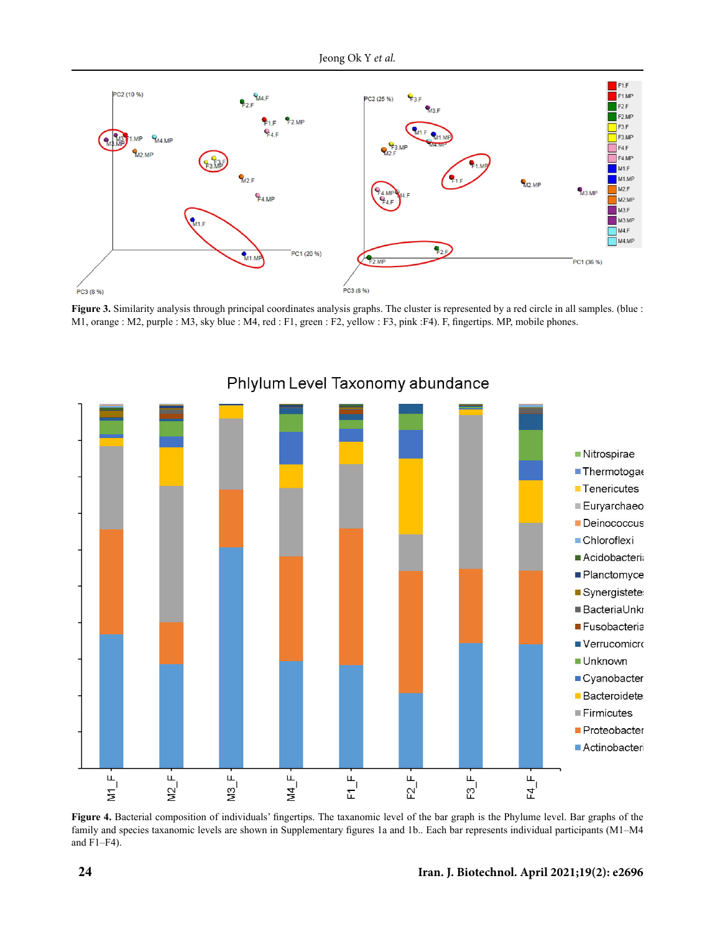

**Figure 3.** Similarity analysis through principal coordinates analysis graphs. The cluster is represented by a red circle in all samples. (blue : M1, orange : M2, purple : M3, sky blue : M4, red : F1, green : F2, yellow : F3, pink :F4). F, fingertips. MP, mobile phones.



Phlylum Level Taxonomy abundance

**Figure 4.** Bacterial composition of individuals' fingertips. The taxanomic level of the bar graph is the Phylume level. Bar graphs of the family and species taxanomic levels are shown in Supplementary figures 1a and 1b.. Each bar represents individual participants (M1–M4 and F1–F4).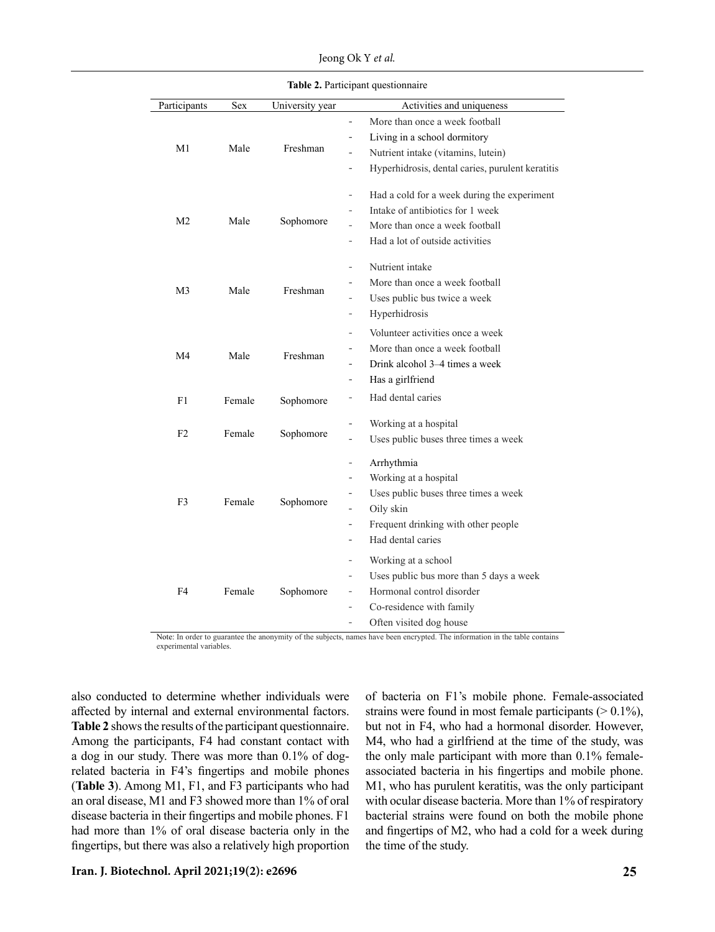Jeong Ok Y *et al.* 

| Participants   | Sex    | University year | Activities and uniqueness                                                    |
|----------------|--------|-----------------|------------------------------------------------------------------------------|
|                |        |                 | More than once a week football<br>$\overline{a}$                             |
|                |        | Freshman        | Living in a school dormitory<br>$\qquad \qquad \blacksquare$                 |
| M1             | Male   |                 | Nutrient intake (vitamins, lutein)<br>$\qquad \qquad \blacksquare$           |
|                |        |                 | Hyperhidrosis, dental caries, purulent keratitis<br>$\overline{\phantom{0}}$ |
|                |        | Sophomore       | Had a cold for a week during the experiment<br>$\qquad \qquad \blacksquare$  |
|                |        |                 | Intake of antibiotics for 1 week                                             |
| M <sub>2</sub> | Male   |                 | More than once a week football                                               |
|                |        |                 | Had a lot of outside activities<br>$\overline{\phantom{a}}$                  |
|                |        | Freshman        | Nutrient intake<br>$\overline{a}$                                            |
| M3             | Male   |                 | More than once a week football                                               |
|                |        |                 | Uses public bus twice a week<br>$\overline{a}$                               |
|                |        |                 | Hyperhidrosis                                                                |
|                |        | Freshman        | Volunteer activities once a week<br>$\overline{\phantom{a}}$                 |
| M <sub>4</sub> | Male   |                 | More than once a week football<br>$\overline{\phantom{0}}$                   |
|                |        |                 | Drink alcohol 3–4 times a week                                               |
|                |        |                 | Has a girlfriend<br>$\overline{a}$                                           |
| F1             | Female | Sophomore       | Had dental caries                                                            |
|                |        |                 | Working at a hospital<br>$\overline{\phantom{0}}$                            |
| F <sub>2</sub> | Female | Sophomore       | Uses public buses three times a week                                         |
|                |        | Sophomore       | Arrhythmia<br>$\overline{\phantom{a}}$                                       |
|                |        |                 | Working at a hospital<br>$\overline{\phantom{a}}$                            |
| F3             | Female |                 | Uses public buses three times a week                                         |
|                |        |                 | Oily skin                                                                    |
|                |        |                 | Frequent drinking with other people<br>$\overline{\phantom{0}}$              |
|                |        |                 | Had dental caries                                                            |
|                |        | Sophomore       | Working at a school<br>$\overline{\phantom{a}}$                              |
|                |        |                 | Uses public bus more than 5 days a week<br>$\overline{a}$                    |
| F4             | Female |                 | Hormonal control disorder<br>$\qquad \qquad -$                               |
|                |        |                 | Co-residence with family<br>$\overline{\phantom{a}}$                         |
|                |        |                 | Often visited dog house<br>$\overline{\phantom{a}}$                          |
|                |        |                 |                                                                              |

Note: In order to guarantee the anonymity of the subjects, names have been encrypted. The information in the table contains experimental variables.

also conducted to determine whether individuals were affected by internal and external environmental factors. **Table 2** shows the results of the participant questionnaire. Among the participants, F4 had constant contact with a dog in our study. There was more than 0.1% of dogrelated bacteria in F4's fingertips and mobile phones (**Table 3**). Among M1, F1, and F3 participants who had an oral disease, M1 and F3 showed more than 1% of oral disease bacteria in their fingertips and mobile phones. F1 had more than 1% of oral disease bacteria only in the fingertips, but there was also a relatively high proportion of bacteria on F1's mobile phone. Female-associated strains were found in most female participants  $(> 0.1\%)$ , but not in F4, who had a hormonal disorder. However, M4, who had a girlfriend at the time of the study, was the only male participant with more than 0.1% femaleassociated bacteria in his fingertips and mobile phone. M1, who has purulent keratitis, was the only participant with ocular disease bacteria. More than 1% of respiratory bacterial strains were found on both the mobile phone and fingertips of M2, who had a cold for a week during the time of the study.

 $\mathbb{R}$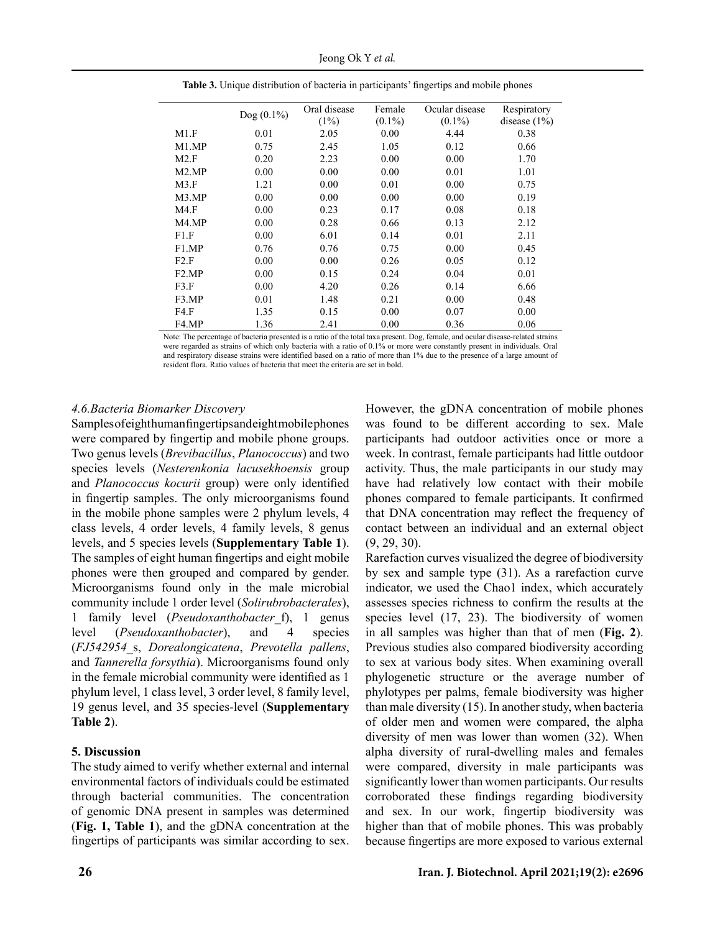Jeong Ok Y *et al.* 

|                    | $Dog (0.1\%)$ | Oral disease | Female    | Ocular disease | Respiratory     |
|--------------------|---------------|--------------|-----------|----------------|-----------------|
|                    |               | (1%)         | $(0.1\%)$ | $(0.1\%)$      | disease $(1\%)$ |
| M1.F               | 0.01          | 2.05         | 0.00      | 4.44           | 0.38            |
| M <sub>1</sub> .MP | 0.75          | 2.45         | 1.05      | 0.12           | 0.66            |
| M2.F               | 0.20          | 2.23         | 0.00      | 0.00           | 1.70            |
| M2.MP              | 0.00          | 0.00         | 0.00      | 0.01           | 1.01            |
| M3.F               | 1.21          | 0.00         | 0.01      | 0.00           | 0.75            |
| M3.MP              | 0.00          | 0.00         | 0.00      | 0.00           | 0.19            |
| M4.F               | 0.00          | 0.23         | 0.17      | 0.08           | 0.18            |
| M <sub>4</sub> .MP | 0.00          | 0.28         | 0.66      | 0.13           | 2.12            |
| F1.F               | 0.00          | 6.01         | 0.14      | 0.01           | 2.11            |
| F1.MP              | 0.76          | 0.76         | 0.75      | 0.00           | 0.45            |
| F2.F               | 0.00          | 0.00         | 0.26      | 0.05           | 0.12            |
| F2.MP              | 0.00          | 0.15         | 0.24      | 0.04           | 0.01            |
| F3.F               | 0.00          | 4.20         | 0.26      | 0.14           | 6.66            |
| F <sub>3</sub> .MP | 0.01          | 1.48         | 0.21      | 0.00           | 0.48            |
| FA.F               | 1.35          | 0.15         | 0.00      | 0.07           | 0.00            |
| F4.MP              | 1.36          | 2.41         | 0.00      | 0.36           | 0.06            |

Table 3. Unique distribution of bacteria in participants' fingertips and mobile phones **Table 3.** Unique distribution of bacteria in participants' fingertips and mobile phones

Note: The percentage of bacteria presented is a ratio of the total taxa present. Dog, female, and ocular disease-related strains were regarded as strains of which only bacteria with a ratio of 0.1% or more were constantly present in individuals. Oral and respiratory disease strains were identified based on a ratio of more than 1% due to the presence of a large amount of resident flora. Ratio values of bacteria that meet the criteria are set in bold.

### *4.6.Bacteria Biomarker Discovery*

Samples of eight human fingertips and eight mobile phones were compared by fingertip and mobile phone groups. Two genus levels (*Brevibacillus*, *Planococcus*) and two species levels (*Nesterenkonia lacusekhoensis* group and *Planococcus kocurii* group) were only identified in fingertip samples. The only microorganisms found in the mobile phone samples were 2 phylum levels, 4 class levels, 4 order levels, 4 family levels, 8 genus levels, and 5 species levels (**Supplementary Table 1**). The samples of eight human fingertips and eight mobile phones were then grouped and compared by gender. Microorganisms found only in the male microbial community include 1 order level (*Solirubrobacterales*), 1 family level (*Pseudoxanthobacter*\_f), 1 genus level (*Pseudoxanthobacter*), and 4 species (*FJ542954*\_s, *Dorealongicatena*, *Prevotella pallens*, and *Tannerella forsythia*). Microorganisms found only in the female microbial community were identified as 1 phylum level, 1 class level, 3 order level, 8 family level, 19 genus level, and 35 species-level (**Supplementary Table 2**).

#### **5. Discussion**

The study aimed to verify whether external and internal environmental factors of individuals could be estimated through bacterial communities. The concentration of genomic DNA present in samples was determined (**Fig. 1, Table 1**), and the gDNA concentration at the fingertips of participants was similar according to sex.

However, the gDNA concentration of mobile phones was found to be different according to sex. Male participants had outdoor activities once or more a week. In contrast, female participants had little outdoor activity. Thus, the male participants in our study may have had relatively low contact with their mobile phones compared to female participants. It confirmed that DNA concentration may reflect the frequency of contact between an individual and an external object (9, 29, 30).

Rarefaction curves visualized the degree of biodiversity by sex and sample type (31). As a rarefaction curve indicator, we used the Chao1 index, which accurately assesses species richness to confirm the results at the species level (17, 23). The biodiversity of women in all samples was higher than that of men (**Fig. 2**). Previous studies also compared biodiversity according to sex at various body sites. When examining overall phylogenetic structure or the average number of phylotypes per palms, female biodiversity was higher than male diversity (15). In another study, when bacteria of older men and women were compared, the alpha diversity of men was lower than women (32). When alpha diversity of rural-dwelling males and females were compared, diversity in male participants was significantly lower than women participants. Our results corroborated these findings regarding biodiversity and sex. In our work, fingertip biodiversity was higher than that of mobile phones. This was probably because fingertips are more exposed to various external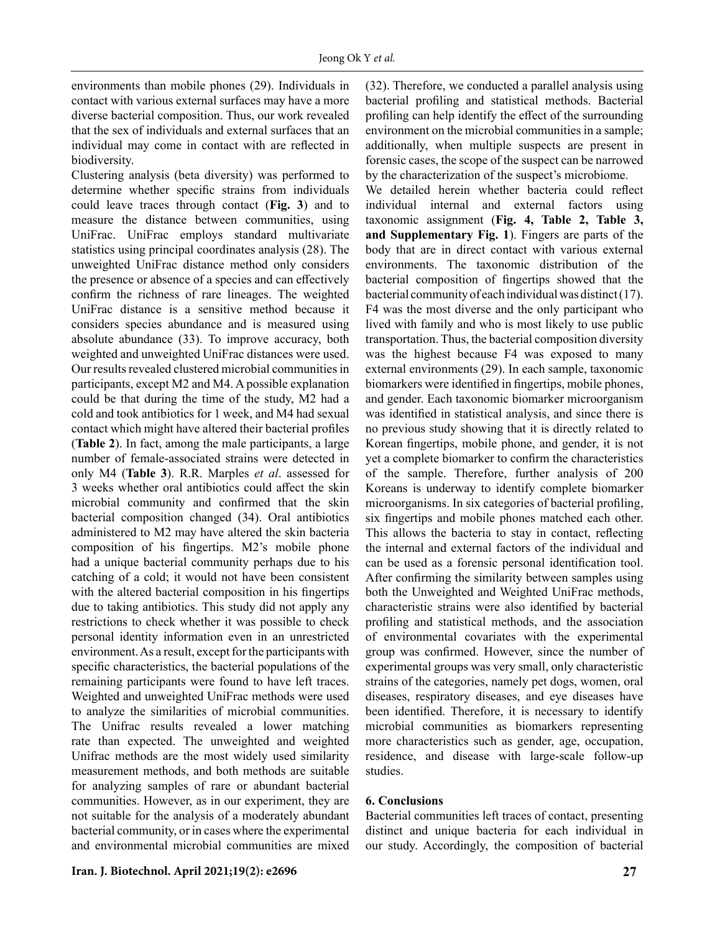environments than mobile phones (29). Individuals in contact with various external surfaces may have a more diverse bacterial composition. Thus, our work revealed that the sex of individuals and external surfaces that an individual may come in contact with are reflected in biodiversity.

Clustering analysis (beta diversity) was performed to determine whether specific strains from individuals could leave traces through contact (**Fig. 3**) and to measure the distance between communities, using UniFrac. UniFrac employs standard multivariate statistics using principal coordinates analysis (28). The unweighted UniFrac distance method only considers the presence or absence of a species and can effectively confirm the richness of rare lineages. The weighted UniFrac distance is a sensitive method because it considers species abundance and is measured using absolute abundance (33). To improve accuracy, both weighted and unweighted UniFrac distances were used. Our results revealed clustered microbial communities in participants, except M2 and M4. A possible explanation could be that during the time of the study, M2 had a cold and took antibiotics for 1 week, and M4 had sexual contact which might have altered their bacterial profiles (**Table 2**). In fact, among the male participants, a large number of female-associated strains were detected in only M4 (**Table 3**). R.R. Marples *et al*. assessed for 3 weeks whether oral antibiotics could affect the skin microbial community and confirmed that the skin bacterial composition changed (34). Oral antibiotics administered to M2 may have altered the skin bacteria composition of his fingertips. M2's mobile phone had a unique bacterial community perhaps due to his catching of a cold; it would not have been consistent with the altered bacterial composition in his fingertips due to taking antibiotics. This study did not apply any restrictions to check whether it was possible to check personal identity information even in an unrestricted environment. As a result, except for the participants with specific characteristics, the bacterial populations of the remaining participants were found to have left traces. Weighted and unweighted UniFrac methods were used to analyze the similarities of microbial communities. The Unifrac results revealed a lower matching rate than expected. The unweighted and weighted Unifrac methods are the most widely used similarity measurement methods, and both methods are suitable for analyzing samples of rare or abundant bacterial communities. However, as in our experiment, they are not suitable for the analysis of a moderately abundant bacterial community, or in cases where the experimental and environmental microbial communities are mixed (32). Therefore, we conducted a parallel analysis using bacterial profiling and statistical methods. Bacterial profiling can help identify the effect of the surrounding environment on the microbial communities in a sample; additionally, when multiple suspects are present in forensic cases, the scope of the suspect can be narrowed by the characterization of the suspect's microbiome.

We detailed herein whether bacteria could reflect individual internal and external factors using taxonomic assignment (**Fig. 4, Table 2, Table 3, and Supplementary Fig. 1**). Fingers are parts of the body that are in direct contact with various external environments. The taxonomic distribution of the bacterial composition of fingertips showed that the bacterial community of each individual was distinct (17). F4 was the most diverse and the only participant who lived with family and who is most likely to use public transportation. Thus, the bacterial composition diversity was the highest because F4 was exposed to many external environments (29). In each sample, taxonomic biomarkers were identified in fingertips, mobile phones, and gender. Each taxonomic biomarker microorganism was identified in statistical analysis, and since there is no previous study showing that it is directly related to Korean fingertips, mobile phone, and gender, it is not yet a complete biomarker to confirm the characteristics of the sample. Therefore, further analysis of 200 Koreans is underway to identify complete biomarker microorganisms. In six categories of bacterial profiling, six fingertips and mobile phones matched each other. This allows the bacteria to stay in contact, reflecting the internal and external factors of the individual and can be used as a forensic personal identification tool. After confirming the similarity between samples using both the Unweighted and Weighted UniFrac methods, characteristic strains were also identified by bacterial profiling and statistical methods, and the association of environmental covariates with the experimental group was confirmed. However, since the number of experimental groups was very small, only characteristic strains of the categories, namely pet dogs, women, oral diseases, respiratory diseases, and eye diseases have been identified. Therefore, it is necessary to identify microbial communities as biomarkers representing more characteristics such as gender, age, occupation, residence, and disease with large-scale follow-up studies.

### **6. Conclusions**

Bacterial communities left traces of contact, presenting distinct and unique bacteria for each individual in our study. Accordingly, the composition of bacterial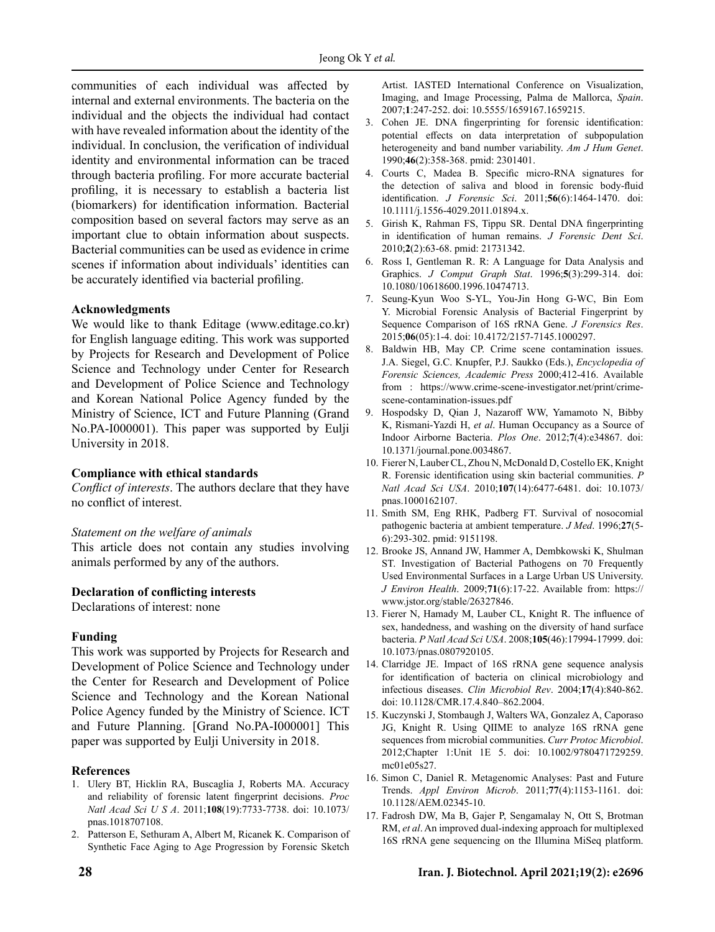communities of each individual was affected by internal and external environments. The bacteria on the individual and the objects the individual had contact with have revealed information about the identity of the individual. In conclusion, the verification of individual identity and environmental information can be traced through bacteria profiling. For more accurate bacterial profiling, it is necessary to establish a bacteria list (biomarkers) for identification information. Bacterial composition based on several factors may serve as an important clue to obtain information about suspects. Bacterial communities can be used as evidence in crime scenes if information about individuals' identities can be accurately identified via bacterial profiling.

### **Acknowledgments**

We would like to thank Editage (www.editage.co.kr) for English language editing. This work was supported by Projects for Research and Development of Police Science and Technology under Center for Research and Development of Police Science and Technology and Korean National Police Agency funded by the Ministry of Science, ICT and Future Planning (Grand No.PA-I000001). This paper was supported by Eulji University in 2018.

#### **Compliance with ethical standards**

*Conflict of interests*. The authors declare that they have no conflict of interest.

#### *Statement on the welfare of animals*

This article does not contain any studies involving animals performed by any of the authors.

#### **Declaration of conflicting interests**

Declarations of interest: none

## **Funding**

This work was supported by Projects for Research and Development of Police Science and Technology under the Center for Research and Development of Police Science and Technology and the Korean National Police Agency funded by the Ministry of Science. ICT and Future Planning. [Grand No.PA-I000001] This paper was supported by Eulji University in 2018.

## **References**

- 1. Ulery BT, Hicklin RA, Buscaglia J, Roberts MA. Accuracy and reliability of forensic latent fingerprint decisions. *Proc Natl Acad Sci U S A*. 2011;**108**(19):7733-7738. doi: [10.1073/](https://doi.org/10.1073/pnas.1018707108) [pnas.1018707108](https://doi.org/10.1073/pnas.1018707108).
- 2. Patterson E, Sethuram A, Albert M, Ricanek K. Comparison of Synthetic Face Aging to Age Progression by Forensic Sketch

Artist. IASTED International Conference on Visualization, Imaging, and Image Processing, Palma de Mallorca, *Spain*. 2007;**1**:247-252. doi: [10.5555/1659167.1659215](https://dl.acm.org/doi/10.5555/1659167.1659215).

- 3. Cohen JE. DNA fingerprinting for forensic identification: potential effects on data interpretation of subpopulation heterogeneity and band number variability. *Am J Hum Genet*. 1990;**46**(2):358-368. pmid: [2301401.](https://www.ncbi.nlm.nih.gov/pubmed/2301401)
- 4. Courts C, Madea B. Specific micro-RNA signatures for the detection of saliva and blood in forensic body-fluid identification. *J Forensic Sci*. 2011;**56**(6):1464-1470. doi: [10.1111/j.1556-4029.2011.01894.x.](https://doi.org/10.1111/j.1556-4029.2011.01894.x)
- 5. Girish K, Rahman FS, Tippu SR. Dental DNA fingerprinting in identification of human remains. *J Forensic Dent Sci*. 2010;**2**(2):63-68. pmid: [21731342.](https://www.ncbi.nlm.nih.gov/pubmed/21731342)
- 6. Ross I, Gentleman R. R: A Language for Data Analysis and Graphics. *J Comput Graph Stat*. 1996;**5**(3):299-314. doi: 10.1080/10618600.1996.10474713.
- 7. Seung-Kyun Woo S-YL, You-Jin Hong G-WC, Bin Eom Y. Microbial Forensic Analysis of Bacterial Fingerprint by Sequence Comparison of 16S rRNA Gene. *J Forensics Res*. 2015;**06**(05):1-4. doi: 10.4172/2157-7145.1000297.
- 8. Baldwin HB, May CP. Crime scene contamination issues. J.A. Siegel, G.C. Knupfer, P.J. Saukko (Eds.), *Encyclopedia of Forensic Sciences, Academic Press* 2000;412-416. Available from : [https://www.crime-scene-investigator.net/print/crime](https://www.crime-scene-investigator.net/print/crime-scene-contamination-issues.pdf)[scene-contamination-issues.pdf](https://www.crime-scene-investigator.net/print/crime-scene-contamination-issues.pdf)
- 9. Hospodsky D, Qian J, Nazaroff WW, Yamamoto N, Bibby K, Rismani-Yazdi H, *et al*. Human Occupancy as a Source of Indoor Airborne Bacteria. *Plos One*. 2012;**7**(4):e34867. doi: 10.1371/journal.pone.0034867.
- 10. Fierer N, Lauber CL, Zhou N, McDonald D, Costello EK, Knight R. Forensic identification using skin bacterial communities. *P Natl Acad Sci USA*. 2010;**107**(14):6477-6481. doi: 10.1073/ pnas.1000162107.
- 11. Smith SM, Eng RHK, Padberg FT. Survival of nosocomial pathogenic bacteria at ambient temperature. *J Med*. 1996;**27**(5- 6):293-302. pmid: 9151198.
- 12. Brooke JS, Annand JW, Hammer A, Dembkowski K, Shulman ST. Investigation of Bacterial Pathogens on 70 Frequently Used Environmental Surfaces in a Large Urban US University. *J Environ Health*. 2009;**71**(6):17-22. Available from: https:// www.jstor.org/stable/26327846.
- 13. Fierer N, Hamady M, Lauber CL, Knight R. The influence of sex, handedness, and washing on the diversity of hand surface bacteria. *P Natl Acad Sci USA*. 2008;**105**(46):17994-17999. doi: 10.1073/pnas.0807920105.
- 14. Clarridge JE. Impact of 16S rRNA gene sequence analysis for identification of bacteria on clinical microbiology and infectious diseases. *Clin Microbiol Rev*. 2004;**17**(4):840-862. doi: 10.1128/CMR.17.4.840–862.2004.
- 15. Kuczynski J, Stombaugh J, Walters WA, Gonzalez A, Caporaso JG, Knight R. Using QIIME to analyze 16S rRNA gene sequences from microbial communities. *Curr Protoc Microbiol*. 2012;Chapter 1:Unit 1E 5. doi: 10.1002/9780471729259. mc01e05s27.
- 16. Simon C, Daniel R. Metagenomic Analyses: Past and Future Trends. *Appl Environ Microb*. 2011;**77**(4):1153-1161. doi: 10.1128/AEM.02345-10.
- 17. Fadrosh DW, Ma B, Gajer P, Sengamalay N, Ott S, Brotman RM, *et al*. An improved dual-indexing approach for multiplexed 16S rRNA gene sequencing on the Illumina MiSeq platform.